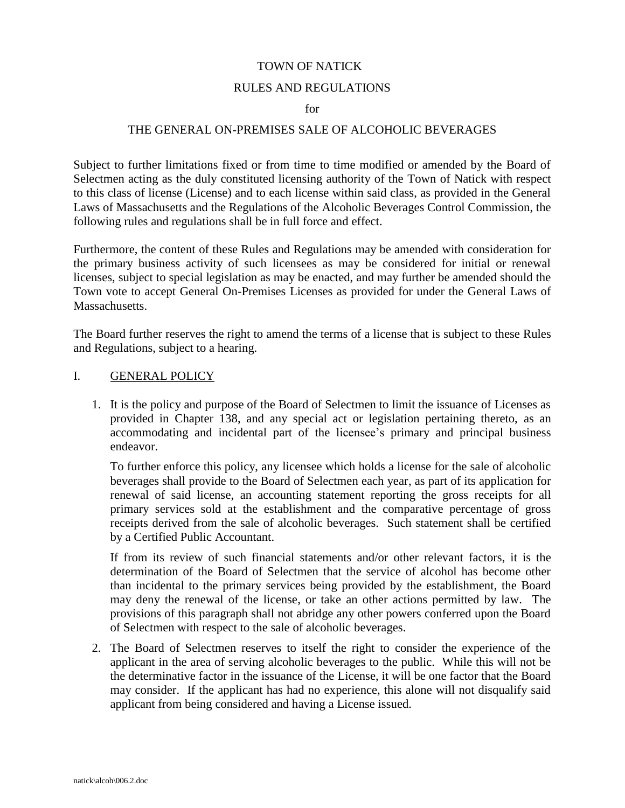### TOWN OF NATICK

### RULES AND REGULATIONS

#### for

### THE GENERAL ON-PREMISES SALE OF ALCOHOLIC BEVERAGES

Subject to further limitations fixed or from time to time modified or amended by the Board of Selectmen acting as the duly constituted licensing authority of the Town of Natick with respect to this class of license (License) and to each license within said class, as provided in the General Laws of Massachusetts and the Regulations of the Alcoholic Beverages Control Commission, the following rules and regulations shall be in full force and effect.

Furthermore, the content of these Rules and Regulations may be amended with consideration for the primary business activity of such licensees as may be considered for initial or renewal licenses, subject to special legislation as may be enacted, and may further be amended should the Town vote to accept General On-Premises Licenses as provided for under the General Laws of Massachusetts.

The Board further reserves the right to amend the terms of a license that is subject to these Rules and Regulations, subject to a hearing.

### I. GENERAL POLICY

1. It is the policy and purpose of the Board of Selectmen to limit the issuance of Licenses as provided in Chapter 138, and any special act or legislation pertaining thereto, as an accommodating and incidental part of the licensee's primary and principal business endeavor.

To further enforce this policy, any licensee which holds a license for the sale of alcoholic beverages shall provide to the Board of Selectmen each year, as part of its application for renewal of said license, an accounting statement reporting the gross receipts for all primary services sold at the establishment and the comparative percentage of gross receipts derived from the sale of alcoholic beverages. Such statement shall be certified by a Certified Public Accountant.

If from its review of such financial statements and/or other relevant factors, it is the determination of the Board of Selectmen that the service of alcohol has become other than incidental to the primary services being provided by the establishment, the Board may deny the renewal of the license, or take an other actions permitted by law. The provisions of this paragraph shall not abridge any other powers conferred upon the Board of Selectmen with respect to the sale of alcoholic beverages.

2. The Board of Selectmen reserves to itself the right to consider the experience of the applicant in the area of serving alcoholic beverages to the public. While this will not be the determinative factor in the issuance of the License, it will be one factor that the Board may consider. If the applicant has had no experience, this alone will not disqualify said applicant from being considered and having a License issued.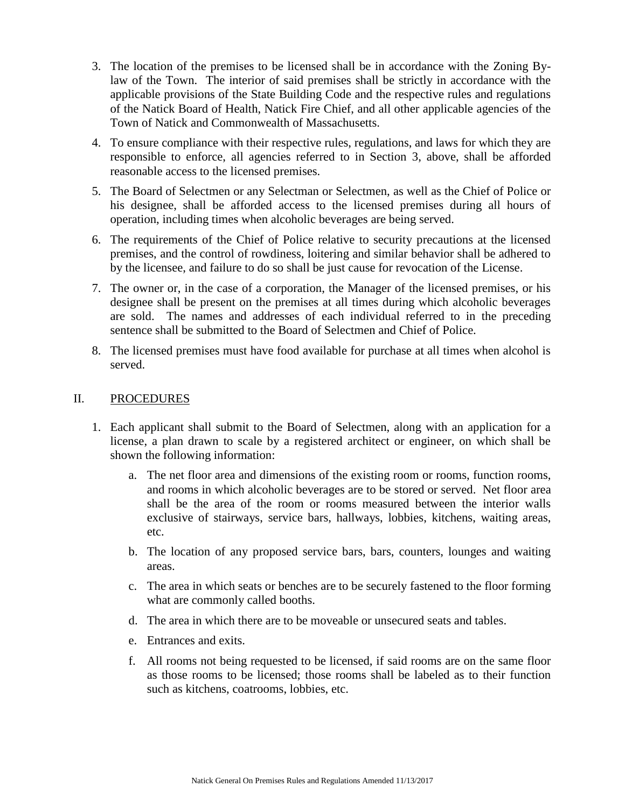- 3. The location of the premises to be licensed shall be in accordance with the Zoning Bylaw of the Town. The interior of said premises shall be strictly in accordance with the applicable provisions of the State Building Code and the respective rules and regulations of the Natick Board of Health, Natick Fire Chief, and all other applicable agencies of the Town of Natick and Commonwealth of Massachusetts.
- 4. To ensure compliance with their respective rules, regulations, and laws for which they are responsible to enforce, all agencies referred to in Section 3, above, shall be afforded reasonable access to the licensed premises.
- 5. The Board of Selectmen or any Selectman or Selectmen, as well as the Chief of Police or his designee, shall be afforded access to the licensed premises during all hours of operation, including times when alcoholic beverages are being served.
- 6. The requirements of the Chief of Police relative to security precautions at the licensed premises, and the control of rowdiness, loitering and similar behavior shall be adhered to by the licensee, and failure to do so shall be just cause for revocation of the License.
- 7. The owner or, in the case of a corporation, the Manager of the licensed premises, or his designee shall be present on the premises at all times during which alcoholic beverages are sold. The names and addresses of each individual referred to in the preceding sentence shall be submitted to the Board of Selectmen and Chief of Police.
- 8. The licensed premises must have food available for purchase at all times when alcohol is served.

## II. PROCEDURES

- 1. Each applicant shall submit to the Board of Selectmen, along with an application for a license, a plan drawn to scale by a registered architect or engineer, on which shall be shown the following information:
	- a. The net floor area and dimensions of the existing room or rooms, function rooms, and rooms in which alcoholic beverages are to be stored or served. Net floor area shall be the area of the room or rooms measured between the interior walls exclusive of stairways, service bars, hallways, lobbies, kitchens, waiting areas, etc.
	- b. The location of any proposed service bars, bars, counters, lounges and waiting areas.
	- c. The area in which seats or benches are to be securely fastened to the floor forming what are commonly called booths.
	- d. The area in which there are to be moveable or unsecured seats and tables.
	- e. Entrances and exits.
	- f. All rooms not being requested to be licensed, if said rooms are on the same floor as those rooms to be licensed; those rooms shall be labeled as to their function such as kitchens, coatrooms, lobbies, etc.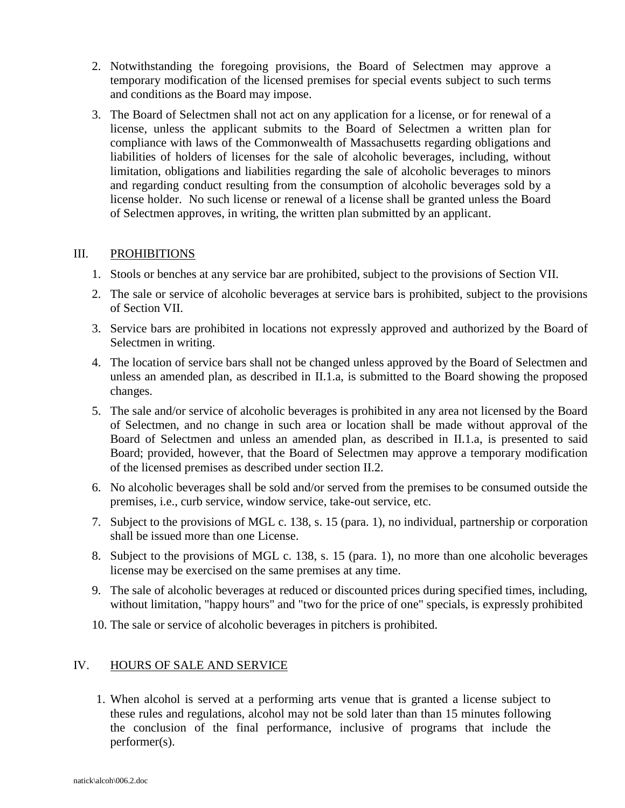- 2. Notwithstanding the foregoing provisions, the Board of Selectmen may approve a temporary modification of the licensed premises for special events subject to such terms and conditions as the Board may impose.
- 3. The Board of Selectmen shall not act on any application for a license, or for renewal of a license, unless the applicant submits to the Board of Selectmen a written plan for compliance with laws of the Commonwealth of Massachusetts regarding obligations and liabilities of holders of licenses for the sale of alcoholic beverages, including, without limitation, obligations and liabilities regarding the sale of alcoholic beverages to minors and regarding conduct resulting from the consumption of alcoholic beverages sold by a license holder. No such license or renewal of a license shall be granted unless the Board of Selectmen approves, in writing, the written plan submitted by an applicant.

# III. PROHIBITIONS

- 1. Stools or benches at any service bar are prohibited, subject to the provisions of Section VII.
- 2. The sale or service of alcoholic beverages at service bars is prohibited, subject to the provisions of Section VII.
- 3. Service bars are prohibited in locations not expressly approved and authorized by the Board of Selectmen in writing.
- 4. The location of service bars shall not be changed unless approved by the Board of Selectmen and unless an amended plan, as described in II.1.a, is submitted to the Board showing the proposed changes.
- 5. The sale and/or service of alcoholic beverages is prohibited in any area not licensed by the Board of Selectmen, and no change in such area or location shall be made without approval of the Board of Selectmen and unless an amended plan, as described in II.1.a, is presented to said Board; provided, however, that the Board of Selectmen may approve a temporary modification of the licensed premises as described under section II.2.
- 6. No alcoholic beverages shall be sold and/or served from the premises to be consumed outside the premises, i.e., curb service, window service, take-out service, etc.
- 7. Subject to the provisions of MGL c. 138, s. 15 (para. 1), no individual, partnership or corporation shall be issued more than one License.
- 8. Subject to the provisions of MGL c. 138, s. 15 (para. 1), no more than one alcoholic beverages license may be exercised on the same premises at any time.
- 9. The sale of alcoholic beverages at reduced or discounted prices during specified times, including, without limitation, "happy hours" and "two for the price of one" specials, is expressly prohibited
- 10. The sale or service of alcoholic beverages in pitchers is prohibited.

## IV. HOURS OF SALE AND SERVICE

1. When alcohol is served at a performing arts venue that is granted a license subject to these rules and regulations, alcohol may not be sold later than than 15 minutes following the conclusion of the final performance, inclusive of programs that include the performer(s).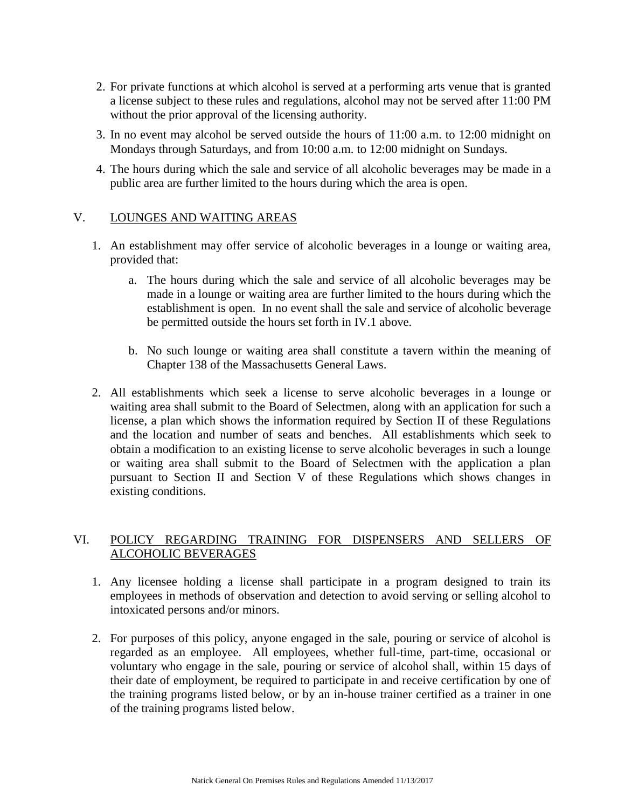- 2. For private functions at which alcohol is served at a performing arts venue that is granted a license subject to these rules and regulations, alcohol may not be served after 11:00 PM without the prior approval of the licensing authority.
- 3. In no event may alcohol be served outside the hours of 11:00 a.m. to 12:00 midnight on Mondays through Saturdays, and from 10:00 a.m. to 12:00 midnight on Sundays.
- 4. The hours during which the sale and service of all alcoholic beverages may be made in a public area are further limited to the hours during which the area is open.

### V. LOUNGES AND WAITING AREAS

- 1. An establishment may offer service of alcoholic beverages in a lounge or waiting area, provided that:
	- a. The hours during which the sale and service of all alcoholic beverages may be made in a lounge or waiting area are further limited to the hours during which the establishment is open. In no event shall the sale and service of alcoholic beverage be permitted outside the hours set forth in IV.1 above.
	- b. No such lounge or waiting area shall constitute a tavern within the meaning of Chapter 138 of the Massachusetts General Laws.
- 2. All establishments which seek a license to serve alcoholic beverages in a lounge or waiting area shall submit to the Board of Selectmen, along with an application for such a license, a plan which shows the information required by Section II of these Regulations and the location and number of seats and benches. All establishments which seek to obtain a modification to an existing license to serve alcoholic beverages in such a lounge or waiting area shall submit to the Board of Selectmen with the application a plan pursuant to Section II and Section V of these Regulations which shows changes in existing conditions.

# VI. POLICY REGARDING TRAINING FOR DISPENSERS AND SELLERS OF ALCOHOLIC BEVERAGES

- 1. Any licensee holding a license shall participate in a program designed to train its employees in methods of observation and detection to avoid serving or selling alcohol to intoxicated persons and/or minors.
- 2. For purposes of this policy, anyone engaged in the sale, pouring or service of alcohol is regarded as an employee. All employees, whether full-time, part-time, occasional or voluntary who engage in the sale, pouring or service of alcohol shall, within 15 days of their date of employment, be required to participate in and receive certification by one of the training programs listed below, or by an in-house trainer certified as a trainer in one of the training programs listed below.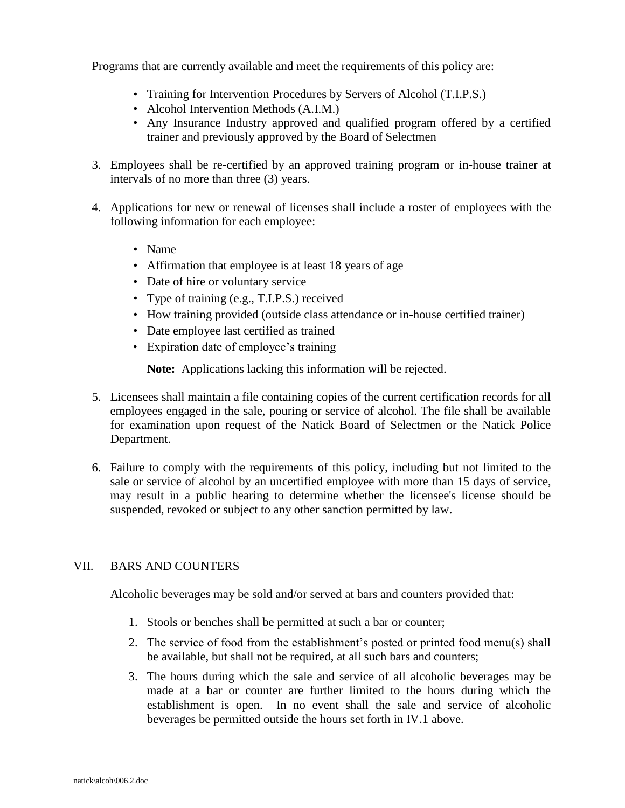Programs that are currently available and meet the requirements of this policy are:

- Training for Intervention Procedures by Servers of Alcohol (T.I.P.S.)
- Alcohol Intervention Methods (A.I.M.)
- Any Insurance Industry approved and qualified program offered by a certified trainer and previously approved by the Board of Selectmen
- 3. Employees shall be re-certified by an approved training program or in-house trainer at intervals of no more than three (3) years.
- 4. Applications for new or renewal of licenses shall include a roster of employees with the following information for each employee:
	- Name
	- Affirmation that employee is at least 18 years of age
	- Date of hire or voluntary service
	- Type of training (e.g., T.I.P.S.) received
	- How training provided (outside class attendance or in-house certified trainer)
	- Date employee last certified as trained
	- Expiration date of employee's training

**Note:** Applications lacking this information will be rejected.

- 5. Licensees shall maintain a file containing copies of the current certification records for all employees engaged in the sale, pouring or service of alcohol. The file shall be available for examination upon request of the Natick Board of Selectmen or the Natick Police Department.
- 6. Failure to comply with the requirements of this policy, including but not limited to the sale or service of alcohol by an uncertified employee with more than 15 days of service, may result in a public hearing to determine whether the licensee's license should be suspended, revoked or subject to any other sanction permitted by law.

### VII. BARS AND COUNTERS

Alcoholic beverages may be sold and/or served at bars and counters provided that:

- 1. Stools or benches shall be permitted at such a bar or counter;
- 2. The service of food from the establishment's posted or printed food menu(s) shall be available, but shall not be required, at all such bars and counters;
- 3. The hours during which the sale and service of all alcoholic beverages may be made at a bar or counter are further limited to the hours during which the establishment is open. In no event shall the sale and service of alcoholic beverages be permitted outside the hours set forth in IV.1 above.